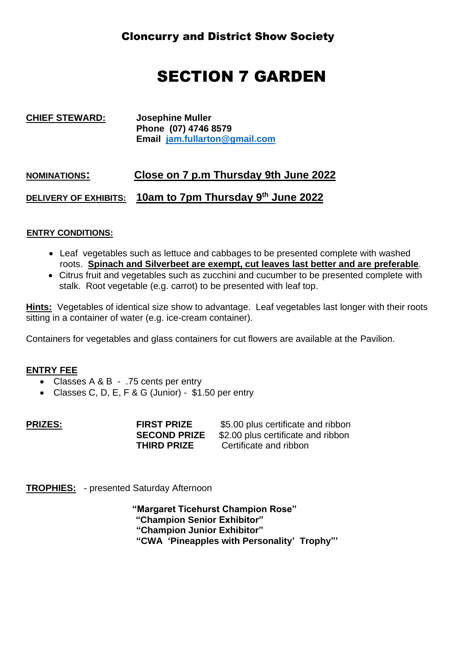## SECTION 7 GARDEN

**CHIEF STEWARD: Josephine Muller Phone (07) 4746 8579 Email [jam.fullarton@gmail.com](mailto:jam.fullarton@gmail.com)**

### **NOMINATIONS: Close on 7 p.m Thursday 9th June 2022**

**DELIVERY OF EXHIBITS: 10am to 7pm Thursday 9 th June 2022**

#### **ENTRY CONDITIONS:**

- Leaf vegetables such as lettuce and cabbages to be presented complete with washed roots. **Spinach and Silverbeet are exempt, cut leaves last better and are preferable**.
- Citrus fruit and vegetables such as zucchini and cucumber to be presented complete with stalk. Root vegetable (e.g. carrot) to be presented with leaf top.

**Hints:** Vegetables of identical size show to advantage. Leaf vegetables last longer with their roots sitting in a container of water (e.g. ice-cream container).

Containers for vegetables and glass containers for cut flowers are available at the Pavilion.

#### **ENTRY FEE**

- Classes A & B .75 cents per entry
- Classes C, D, E, F & G (Junior) \$1.50 per entry

| <b>PRIZES:</b> | <b>FIRST PRIZE</b>  | \$5.00 plus certificate and ribbon |
|----------------|---------------------|------------------------------------|
|                | <b>SECOND PRIZE</b> | \$2.00 plus certificate and ribbon |
|                | <b>THIRD PRIZE</b>  | Certificate and ribbon             |

**TROPHIES:** - presented Saturday Afternoon

 **"Margaret Ticehurst Champion Rose" "Champion Senior Exhibitor" "Champion Junior Exhibitor" "CWA 'Pineapples with Personality' Trophy"'**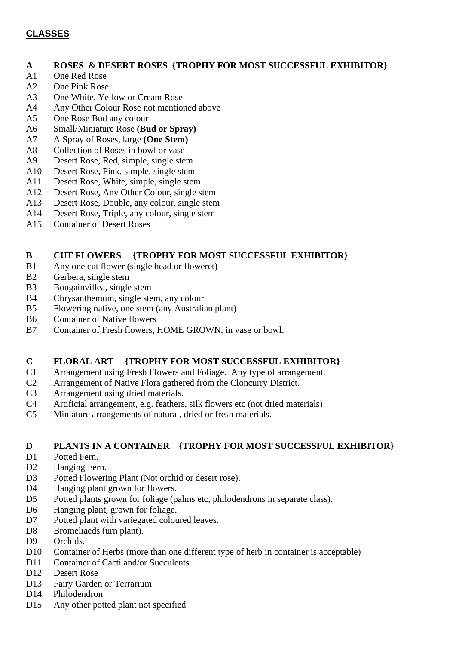#### **CLASSES**

#### **A ROSES & DESERT ROSES {TROPHY FOR MOST SUCCESSFUL EXHIBITOR}**

- A1 One Red Rose
- A2 One Pink Rose
- A3 One White, Yellow or Cream Rose
- A4 Any Other Colour Rose not mentioned above
- A5 One Rose Bud any colour
- A6 Small/Miniature Rose **(Bud or Spray)**
- A7 A Spray of Roses, large **(One Stem)**
- A8 Collection of Roses in bowl or vase
- A9 Desert Rose, Red, simple, single stem
- A10 Desert Rose, Pink, simple, single stem
- A11 Desert Rose, White, simple, single stem
- A12 Desert Rose, Any Other Colour, single stem
- A13 Desert Rose, Double, any colour, single stem
- A14 Desert Rose, Triple, any colour, single stem
- A15 Container of Desert Roses

#### **B CUT FLOWERS {TROPHY FOR MOST SUCCESSFUL EXHIBITOR}**

- B1 Any one cut flower (single head or floweret)
- B2 Gerbera, single stem
- B3 Bougainvillea, single stem
- B4 Chrysanthemum, single stem, any colour
- B5 Flowering native, one stem (any Australian plant)
- B6 Container of Native flowers
- B7 Container of Fresh flowers, HOME GROWN, in vase or bowl.

#### **C FLORAL ART {TROPHY FOR MOST SUCCESSFUL EXHIBITOR}**

- C1 Arrangement using Fresh Flowers and Foliage. Any type of arrangement.
- C2 Arrangement of Native Flora gathered from the Cloncurry District.
- C3 Arrangement using dried materials.
- C4 Artificial arrangement, e.g. feathers, silk flowers etc (not dried materials)
- C5 Miniature arrangements of natural, dried or fresh materials.

#### **D PLANTS IN A CONTAINER {TROPHY FOR MOST SUCCESSFUL EXHIBITOR}**

- D1 Potted Fern.
- D<sub>2</sub> Hanging Fern.
- D3 Potted Flowering Plant (Not orchid or desert rose).
- D4 Hanging plant grown for flowers.
- D5 Potted plants grown for foliage (palms etc, philodendrons in separate class).
- D6 Hanging plant, grown for foliage.
- D7 Potted plant with variegated coloured leaves.
- D8 Bromeliaeds (urn plant).
- D9 Orchids.
- D10 Container of Herbs (more than one different type of herb in container is acceptable)
- D11 Container of Cacti and/or Succulents.
- D12 Desert Rose
- D13 Fairy Garden or Terrarium
- D14 Philodendron
- D15 Any other potted plant not specified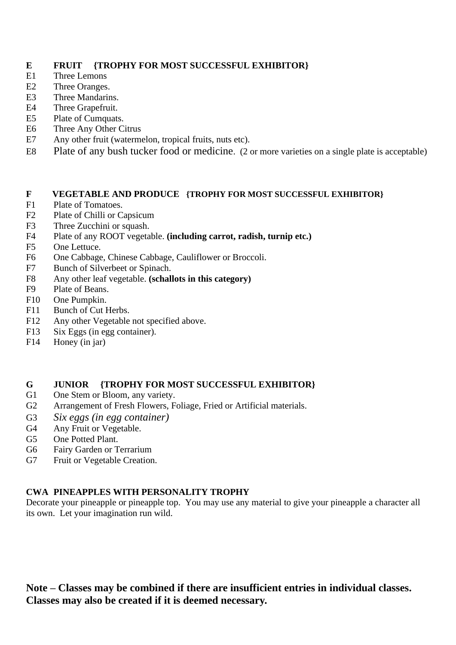#### **E FRUIT {TROPHY FOR MOST SUCCESSFUL EXHIBITOR}**

- E1 Three Lemons
- E2 Three Oranges.
- E3 Three Mandarins.
- E4 Three Grapefruit.
- E5 Plate of Cumquats.
- E6 Three Any Other Citrus
- E7 Any other fruit (watermelon, tropical fruits, nuts etc).
- E8 Plate of any bush tucker food or medicine. (2 or more varieties on a single plate is acceptable)

#### **F VEGETABLE AND PRODUCE {TROPHY FOR MOST SUCCESSFUL EXHIBITOR}**

- F1 Plate of Tomatoes.
- F<sub>2</sub> Plate of Chilli or Capsicum
- F3 Three Zucchini or squash.
- F4 Plate of any ROOT vegetable. **(including carrot, radish, turnip etc.)**
- F5 One Lettuce.
- F6 One Cabbage, Chinese Cabbage, Cauliflower or Broccoli.
- F7 Bunch of Silverbeet or Spinach.
- F8 Any other leaf vegetable. **(schallots in this category)**
- F9 Plate of Beans.
- F10 One Pumpkin.
- F11 Bunch of Cut Herbs.
- F12 Any other Vegetable not specified above.
- F13 Six Eggs (in egg container).
- F14 Honey (in jar)

#### **G JUNIOR {TROPHY FOR MOST SUCCESSFUL EXHIBITOR}**

- G1 One Stem or Bloom, any variety.
- G2 Arrangement of Fresh Flowers, Foliage, Fried or Artificial materials.
- G3 *Six eggs (in egg container)*
- G4 Any Fruit or Vegetable.
- G5 One Potted Plant.
- G6 Fairy Garden or Terrarium
- G7 Fruit or Vegetable Creation.

#### **CWA PINEAPPLES WITH PERSONALITY TROPHY**

Decorate your pineapple or pineapple top. You may use any material to give your pineapple a character all its own. Let your imagination run wild.

**Note – Classes may be combined if there are insufficient entries in individual classes. Classes may also be created if it is deemed necessary.**